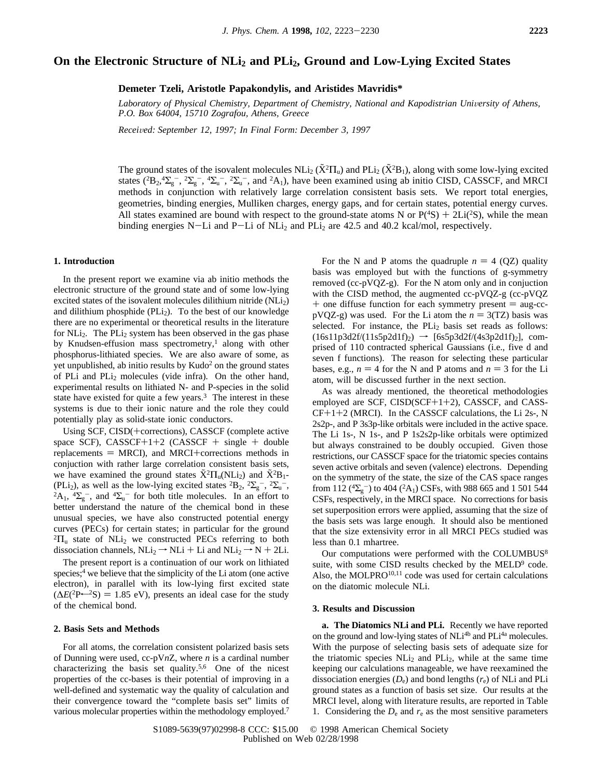# **On the Electronic Structure of NLi2 and PLi2, Ground and Low-Lying Excited States**

**Demeter Tzeli, Aristotle Papakondylis, and Aristides Mavridis\***

Laboratory of Physical Chemistry, Department of Chemistry, National and Kapodistrian University of Athens, *P.O. Box 64004, 15710 Zografou, Athens, Greece*

*Recei*V*ed: September 12, 1997; In Final Form: December 3, 1997*

The ground states of the isovalent molecules  $NL_i(X^2\Pi_u)$  and  $PL_i(X^2B_1)$ , along with some low-lying excited states  $(2B_0A\Sigma - 2\Sigma - 4\Sigma - 2S)$  and  $2A_1$ ), have been examined using abjuitio CISD, CASSCE and MRCI states  $(^{2}B_{2},^4\Sigma_{g}^-,~^2\Sigma_{g}^-,~^4\Sigma_{u}^-,~^2\Sigma_{u}^-,$  and  $^2A_1$ ), have been examined using ab initio CISD, CASSCF, and MRCI methods in conjunction with relatively large correlation consistent basis sets. We report total energies, geometries, binding energies, Mulliken charges, energy gaps, and for certain states, potential energy curves. All states examined are bound with respect to the ground-state atoms N or  $P(^{4}S) + 2Li(^{2}S)$ , while the mean binding energies N-Li and P-Li of NL is and PL is are 42.5 and 40.2 kcal/mol respectively binding energies N-Li and P-Li of NLi<sub>2</sub> and PLi<sub>2</sub> are 42.5 and 40.2 kcal/mol, respectively.

## **1. Introduction**

In the present report we examine via ab initio methods the electronic structure of the ground state and of some low-lying excited states of the isovalent molecules dilithium nitride  $(NLi<sub>2</sub>)$ and dilithium phosphide (PLi<sub>2</sub>). To the best of our knowledge there are no experimental or theoretical results in the literature for  $NLi<sub>2</sub>$ . The  $PLi<sub>2</sub>$  system has been observed in the gas phase by Knudsen-effusion mass spectrometry,<sup>1</sup> along with other phosphorus-lithiated species. We are also aware of some, as yet unpublished, ab initio results by Kudo2 on the ground states of PLi and PLi2 molecules (vide infra). On the other hand, experimental results on lithiated N- and P-species in the solid state have existed for quite a few years.<sup>3</sup> The interest in these systems is due to their ionic nature and the role they could potentially play as solid-state ionic conductors.

Using SCF, CISD(+corrections), CASSCF (complete active space SCF),  $CASSCF+1+2$   $(CASSCF + single + double$ replacements  $=$  MRCI), and MRCI+corrections methods in conjuction with rather large correlation consistent basis sets, we have examined the ground states  $\tilde{X}^2\Pi_u(NLi_2)$  and  $\tilde{X}^2B_1$ -(PLi<sub>2</sub>), as well as the low-lying excited states  ${}^{2}B_{2}$ ,  ${}^{2}\Sigma_{g}^{-}$ ,  ${}^{2}\Sigma_{u}$ (PLi<sub>2</sub>), as well as the low-lying excited states  ${}^{2}B_{2}$ ,  ${}^{2}\Sigma_{g}^{-}$ ,  ${}^{2}\Sigma_{u}^{-}$ ,  ${}^{2}A_{1}$ ,  ${}^{4}\Sigma_{g}^{-}$ , and  ${}^{4}\Sigma_{u}^{-}$  for both title molecules. In an effort to better understand the nature of the chemical bond in these unusual species, we have also constructed potential energy curves (PECs) for certain states; in particular for the ground  ${}^{2}\Pi_{u}$  state of NLi<sub>2</sub> we constructed PECs referring to both dissociation channels,  $NLi_2 \rightarrow NLi + Li$  and  $NLi_2 \rightarrow N + 2Li$ .

The present report is a continuation of our work on lithiated species;<sup>4</sup> we believe that the simplicity of the Li atom (one active electron), in parallel with its low-lying first excited state  $(\Delta E(^{2}P\leftarrow ^{2}S) = 1.85$  eV), presents an ideal case for the study of the chemical bond.

#### **2. Basis Sets and Methods**

For all atoms, the correlation consistent polarized basis sets of Dunning were used, cc-pV*n*Z, where *n* is a cardinal number characterizing the basis set quality.<sup>5,6</sup> One of the nicest properties of the cc-bases is their potential of improving in a well-defined and systematic way the quality of calculation and their convergence toward the "complete basis set" limits of various molecular properties within the methodology employed.<sup>7</sup>

For the N and P atoms the quadruple  $n = 4$  (QZ) quality basis was employed but with the functions of g-symmetry removed (cc-pVQZ-g). For the N atom only and in conjuction with the CISD method, the augmented cc-pVQZ-g (cc-pVQZ  $+$  one diffuse function for each symmetry present  $=$  aug-cc $pVQZ-g$ ) was used. For the Li atom the  $n = 3(TZ)$  basis was selected. For instance, the  $PLi<sub>2</sub>$  basis set reads as follows:  $(16s11p3d2f/(11s5p2d1f)_2)$   $\rightarrow$   $[6s5p3d2f/(4s3p2d1f)_2]$ , comprised of 110 contracted spherical Gaussians (i.e., five d and seven f functions). The reason for selecting these particular bases, e.g.,  $n = 4$  for the N and P atoms and  $n = 3$  for the Li atom, will be discussed further in the next section.

As was already mentioned, the theoretical methodologies employed are SCF, CISD(SCF+1+2), CASSCF, and CASS- $CF+1+2$  (MRCI). In the CASSCF calculations, the Li 2s-, N 2s2p-, and P 3s3p-like orbitals were included in the active space. The Li 1s-, N 1s-, and P 1s2s2p-like orbitals were optimized but always constrained to be doubly occupied. Given those restrictions, our CASSCF space for the triatomic species contains seven active orbitals and seven (valence) electrons. Depending on the symmetry of the state, the size of the CAS space ranges from 112 ( ${}^{4}\Sigma_{g}^{-}$ ) to 404 ( ${}^{2}\text{A}_{1}$ ) CSFs, with 988 665 and 1 501 544 CSFs, respectively, in the MRCI space. No corrections for basis set superposition errors were applied, assuming that the size of the basis sets was large enough. It should also be mentioned that the size extensivity error in all MRCI PECs studied was less than 0.1 mhartree.

Our computations were performed with the COLUMBUS<sup>8</sup> suite, with some CISD results checked by the  $MED<sup>9</sup>$  code. Also, the MOLPRO $^{10,11}$  code was used for certain calculations on the diatomic molecule NLi.

#### **3. Results and Discussion**

**a. The Diatomics NLi and PLi.** Recently we have reported on the ground and low-lying states of NLi<sup>4b</sup> and PLi<sup>4a</sup> molecules. With the purpose of selecting basis sets of adequate size for the triatomic species  $NLi<sub>2</sub>$  and  $PLi<sub>2</sub>$ , while at the same time keeping our calculations manageable, we have reexamined the dissociation energies  $(D_e)$  and bond lengths  $(r_e)$  of NLi and PLi ground states as a function of basis set size. Our results at the MRCI level, along with literature results, are reported in Table 1. Considering the  $D_e$  and  $r_e$  as the most sensitive parameters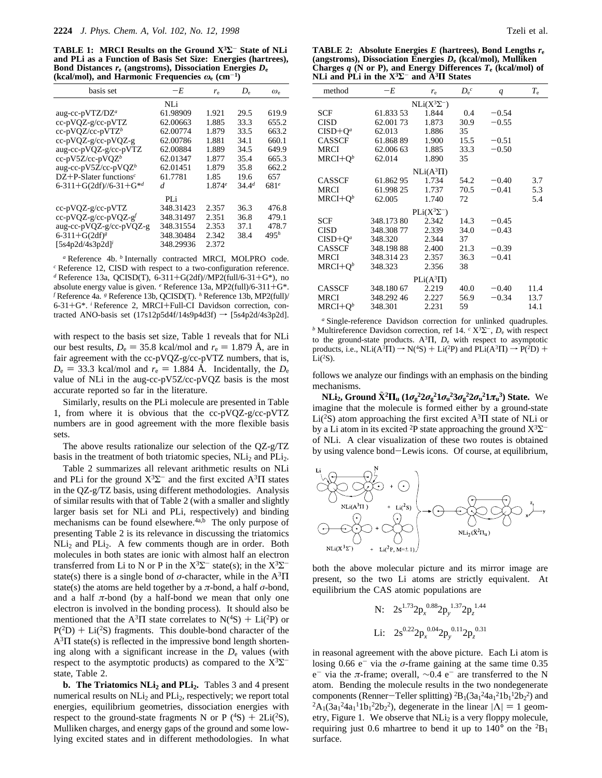**TABLE 1: MRCI Results on the Ground X3Σ**- **State of NLi and PLi as a Function of Basis Set Size: Energies (hartrees), Bond Distances** *r***<sup>e</sup> (angstroms), Dissociation Energies** *D***<sup>e</sup> (kcal/mol), and Harmonic Frequencies**  $\omega_e$  (cm<sup>-1</sup>)

| basis set                             | $-F_{n}$  | $r_{\rm e}$ | $D_{\rm e}$       | $\omega_{\rm e}$ |
|---------------------------------------|-----------|-------------|-------------------|------------------|
|                                       | NLi       |             |                   |                  |
| aug-cc-pVTZ/ $DZ^a$                   | 61.98909  | 1.921       | 29.5              | 619.9            |
| cc-pVQZ-g/cc-pVTZ                     | 62.00663  | 1.885       | 33.3              | 655.2            |
| $cc$ -pVQZ/cc-pVTZ <sup>b</sup>       | 62.00774  | 1.879       | 33.5              | 663.2            |
| cc-pVQZ-g/cc-pVQZ-g                   | 62.00786  | 1.881       | 34.1              | 660.1            |
| aug-cc-pVQZ-g/cc-pVTZ                 | 62.00884  | 1.889       | 34.5              | 649.9            |
| $cc$ -pV5Z/cc-pVOZ <sup>b</sup>       | 62.01347  | 1.877       | 35.4              | 665.3            |
| aug-cc-pV5Z/cc-pVQZb                  | 62.01451  | 1.879       | 35.8              | 662.2            |
| $DZ+P-S$ later functions <sup>c</sup> | 61.7781   | 1.85        | 19.6              | 657              |
| 6-311+G(2df)//6-31+G*d                | d         | 1.874e      | 34.4 <sup>d</sup> | 681 <sup>e</sup> |
|                                       | PLi       |             |                   |                  |
| cc-pVQZ-g/cc-pVTZ                     | 348.31423 | 2.357       | 36.3              | 476.8            |
| $cc-pVQZ-g/cc-pVQZ-gf$                | 348.31497 | 2.351       | 36.8              | 479.1            |
| aug-cc-pVQZ-g/cc-pVQZ-g               | 348.31554 | 2.353       | 37.1              | 478.7            |
| 6-311+G(2df) <sup>8</sup>             | 348.30484 | 2.342       | 38.4              | 495 <sup>h</sup> |
| $[5s4p2d/4s3p2d]$ <sup>i</sup>        | 348.29936 | 2.372       |                   |                  |
|                                       |           |             |                   |                  |

*<sup>a</sup>* Reference 4b. *<sup>b</sup>* Internally contracted MRCI, MOLPRO code. *<sup>c</sup>* Reference 12, CISD with respect to a two-configuration reference. *d* Reference 13a, QCISD(T), 6-311+G(2df)//MP2(full/6-31+G\*), no<br>absolute energy value is given <sup>e</sup> Reference 13a, MP2(full)/6-311+G\* absolute energy value is given. *<sup>e</sup>* Reference 13a, MP2(full)/6-311+G\*. *<sup>f</sup>* Reference 4a. *<sup>g</sup>* Reference 13b, QCISD(T). *<sup>h</sup>* Reference 13b, MP2(full)/ 6-31+G\*. *<sup>i</sup>* Reference 2, MRCI+Full-CI Davidson correction, contracted ANO-basis set  $(17s12p5d4f/14s9p4d3f) \rightarrow [5s4p2d/4s3p2d]$ .

with respect to the basis set size, Table 1 reveals that for NLi our best results,  $D_e = 35.8$  kcal/mol and  $r_e = 1.879$  Å, are in fair agreement with the cc-pVQZ-g/cc-pVTZ numbers, that is,  $D_e = 33.3$  kcal/mol and  $r_e = 1.884$  Å. Incidentally, the  $D_e$ value of NLi in the aug-cc-pV5Z/cc-pVQZ basis is the most accurate reported so far in the literature.

Similarly, results on the PLi molecule are presented in Table 1, from where it is obvious that the cc-pVQZ-g/cc-pVTZ numbers are in good agreement with the more flexible basis sets.

The above results rationalize our selection of the QZ-g/TZ basis in the treatment of both triatomic species, NLi<sub>2</sub> and PLi<sub>2</sub>.

Table 2 summarizes all relevant arithmetic results on NLi and PLi for the ground  $X^3\Sigma^-$  and the first excited  $A^3\Pi$  states in the QZ-g/TZ basis, using different methodologies. Analysis of similar results with that of Table 2 (with a smaller and slightly larger basis set for NLi and PLi, respectively) and binding mechanisms can be found elsewhere.<sup>4a,b</sup> The only purpose of presenting Table 2 is its relevance in discussing the triatomics NLi<sub>2</sub> and PLi<sub>2</sub>. A few comments though are in order. Both molecules in both states are ionic with almost half an electron transferred from Li to N or P in the  $X^3\Sigma^-$  state(s); in the  $X^3\Sigma^$ state(s) there is a single bond of  $\sigma$ -character, while in the  $A^3\Pi$ state(s) the atoms are held together by a *π*-bond, a half *σ*-bond, and a half  $\pi$ -bond (by a half-bond we mean that only one electron is involved in the bonding process). It should also be mentioned that the A<sup>3</sup> $\Pi$  state correlates to N(<sup>4</sup>S) + Li(<sup>2</sup>P) or  $P(^{2}D)$  + Li(<sup>2</sup>S) fragments. This double-bond character of the  $A<sup>3</sup>\Pi$  state(s) is reflected in the impressive bond length shortening along with a significant increase in the  $D<sub>e</sub>$  values (with respect to the asymptotic products) as compared to the  $X^3\Sigma^$ state, Table 2.

**b.** The Triatomics NLi<sub>2</sub> and PLi<sub>2</sub>. Tables 3 and 4 present numerical results on NLi<sub>2</sub> and PLi<sub>2</sub>, respectively; we report total energies, equilibrium geometries, dissociation energies with respect to the ground-state fragments N or P  $(^{4}S)$  + 2Li $(^{2}S)$ , Mulliken charges, and energy gaps of the ground and some lowlying excited states and in different methodologies. In what

**TABLE 2:** Absolute Energies *E* (hartrees), Bond Lengths  $r_e$ **(angstroms), Dissociation Energies** *D***<sup>e</sup> (kcal/mol), Mulliken Charges** *q* **(N or P), and Energy Differences** *T***<sup>e</sup> (kcal/mol) of NLi and PLi in the X3Σ**- **and A3Π States**

| method             | $-E$       | $r_{\rm e}$  | $D_e^c$ | q       | $T_{\rm e}$ |  |  |  |  |
|--------------------|------------|--------------|---------|---------|-------------|--|--|--|--|
| $NLi(X^3\Sigma^-)$ |            |              |         |         |             |  |  |  |  |
| <b>SCF</b>         | 61.833 53  | 1.844        | 0.4     | $-0.54$ |             |  |  |  |  |
| <b>CISD</b>        | 62.001 73  | 1.873        | 30.9    | $-0.55$ |             |  |  |  |  |
| $CISD+Oa$          | 62.013     | 1.886        | 35      |         |             |  |  |  |  |
| <b>CASSCF</b>      | 61.868 89  | 1.900        | 15.5    | $-0.51$ |             |  |  |  |  |
| MRCI               | 62.006 63  | 1.885        | 33.3    | $-0.50$ |             |  |  |  |  |
| $MRCI+Ob$          | 62.014     | 1.890        | 35      |         |             |  |  |  |  |
|                    |            | $NLi(A3\Pi)$ |         |         |             |  |  |  |  |
| <b>CASSCF</b>      | 61.86295   | 1.734        | 54.2    | $-0.40$ | 3.7         |  |  |  |  |
| <b>MRCI</b>        | 61.998 25  | 1.737        | 70.5    | $-0.41$ | 5.3         |  |  |  |  |
| $MRCI+O^b$         | 62.005     | 1.740        | 72      |         | 5.4         |  |  |  |  |
| $PLi(X^3\Sigma^-)$ |            |              |         |         |             |  |  |  |  |
| <b>SCF</b>         | 348.17380  | 2.342        | 14.3    | $-0.45$ |             |  |  |  |  |
| <b>CISD</b>        | 348.30877  | 2.339        | 34.0    | $-0.43$ |             |  |  |  |  |
| $CISD+Oa$          | 348.320    | 2.344        | 37      |         |             |  |  |  |  |
| <b>CASSCF</b>      | 348.198.88 | 2.400        | 21.3    | $-0.39$ |             |  |  |  |  |
| MRCI               | 348.314 23 | 2.357        | 36.3    | $-0.41$ |             |  |  |  |  |
| $MRCI+Ob$          | 348.323    | 2.356        | 38      |         |             |  |  |  |  |
| $PLi(A^3\Pi)$      |            |              |         |         |             |  |  |  |  |
| <b>CASSCF</b>      | 348.18067  | 2.219        | 40.0    | $-0.40$ | 11.4        |  |  |  |  |
| <b>MRCI</b>        | 348.292 46 | 2.227        | 56.9    | $-0.34$ | 13.7        |  |  |  |  |
| $MRCI+Qb$          | 348.301    | 2.231        | 59      |         | 14.1        |  |  |  |  |
|                    |            |              |         |         |             |  |  |  |  |

*<sup>a</sup>* Single-reference Davidson correction for unlinked quadruples. *<sup>b</sup>* Multireference Davidson correction, ref 14. *<sup>c</sup>* X3 Σ-, *D*<sup>e</sup> with respect to the ground-state products.  $A^{3}\Pi$ ,  $D_{e}$  with respect to asymptotic products, i.e.,  $NLi(A^{3}\Pi) \rightarrow N(^{4}S) + Li(^{2}P)$  and  $PLi(A^{3}\Pi) \rightarrow P(^{2}D) + Ii(^{2}S)$  $Li(^{2}S).$ 

follows we analyze our findings with an emphasis on the binding mechanisms.

**NLi<sub>2</sub>, Ground**  $\tilde{\mathbf{X}}^2 \mathbf{\Pi}_{\mathbf{u}} \left( 1 \sigma_g^2 2 \sigma_g^2 1 \sigma_u^2 3 \sigma_g^2 2 \sigma_u^2 1 \pi_u^3 \right)$  **State. We agree that the molecule is formed either by a ground-state** imagine that the molecule is formed either by a ground-state Li(<sup>2</sup>S) atom approaching the first excited  $A<sup>3</sup>\Pi$  state of NLi or by a Li atom in its excited <sup>2</sup>P state approaching the ground  $X^3\Sigma^$ of NLi. A clear visualization of these two routes is obtained by using valence bond-Lewis icons. Of course, at equilibrium,



both the above molecular picture and its mirror image are present, so the two Li atoms are strictly equivalent. At equilibrium the CAS atomic populations are

N: 
$$
2s^{1.73}2p_x^{0.88}2p_y^{1.37}2p_z^{1.44}
$$
  
Li:  $2s^{0.22}2p_x^{0.04}2p_y^{0.11}2p_z^{0.31}$ 

in reasonal agreement with the above picture. Each Li atom is losing 0.66  $e^-$  via the  $\sigma$ -frame gaining at the same time 0.35 e<sup>-</sup> via the *π*-frame; overall, ~0.4 e<sup>-</sup> are transferred to the N atom. Bending the molecule results in the two nondegenerate components (Renner—Teller splitting)  ${}^{2}B_{1}(3a_{1}^{2}4a_{1}^{2}1b_{1}^{1}2b_{2}^{2})$  and  ${}^{2}A_{1}(3a_{1}^{2}4a_{1}^{1}1b_{1}^{2}2b_{2}^{2})$  degenerate in the linear  $|\Lambda| = 1$  geom- ${}^{2}A_{1}(3a_{1}{}^{2}4a_{1}{}^{1}1b_{1}{}^{2}2b_{2}{}^{2})$ , degenerate in the linear  $|\Lambda| = 1$  geom-<br>etry Figure 1. We observe that NI is a very floopy molecule etry, Figure 1. We observe that NLi<sub>2</sub> is a very floppy molecule, requiring just 0.6 mhartree to bend it up to  $140^{\circ}$  on the  ${}^{2}B_{1}$ surface.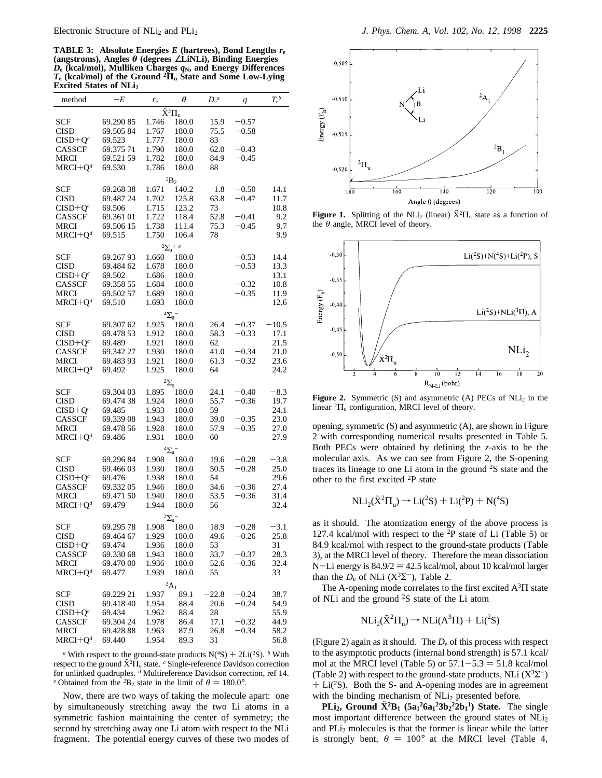**TABLE 3:** Absolute Energies  $E$  (hartrees), Bond Lengths  $r_e$ **(angstroms), Angles** *θ* **(degrees** ∠**LiNLi), Binding Energies** *D***<sup>e</sup> (kcal/mol), Mulliken Charges** *q***N, and Energy Differences** *T***<sup>e</sup> (kcal/mol) of the Ground <sup>2</sup>Π<sup>u</sup> State and Some Low-Lying Excited States of NLi2**

| method             | $-E$      | $r_{\rm e}$      | $\theta$              | $D_e^a$ | $\boldsymbol{q}$ | $T_{\rm e}{}^b$ |  |  |  |
|--------------------|-----------|------------------|-----------------------|---------|------------------|-----------------|--|--|--|
| $\tilde{X}^2\Pi_u$ |           |                  |                       |         |                  |                 |  |  |  |
| <b>SCF</b>         | 69.29085  | 1.746            | 180.0                 | 15.9    | $-0.57$          |                 |  |  |  |
| <b>CISD</b>        | 69.50584  | 1.767            | 180.0                 | 75.5    | $-0.58$          |                 |  |  |  |
|                    | 69.523    |                  | 180.0                 |         |                  |                 |  |  |  |
| $CISD+Qc$          |           | 1.777            |                       | 83      |                  |                 |  |  |  |
| CASSCF             | 69.375 71 | 1.790            | 180.0                 | 62.0    | -0.43            |                 |  |  |  |
| MRCI               | 69.521 59 | 1.782            | 180.0                 | 84.9    | $-0.45$          |                 |  |  |  |
| $MRCI+Q^d$         | 69.530    | 1.786            | 180.0                 | 88      |                  |                 |  |  |  |
|                    |           |                  | $^2\mbox{B}_2$        |         |                  |                 |  |  |  |
| SCF                | 69.26838  | 1.671            | 140.2                 | 1.8     | $-0.50$          | 14.1            |  |  |  |
| <b>CISD</b>        | 69.487 24 | 1.702            | 125.8                 | 63.8    | $-0.47$          | 11.7            |  |  |  |
| $CISD+Qc$          | 69.506    | 1.715            | 123.2                 | 73      |                  | 10.8            |  |  |  |
| CASSCF             | 69.361 01 | 1.722            | 118.4                 | 52.8    | $-0.41$          | 9.2             |  |  |  |
| MRCI               | 69.506 15 | 1.738            | 111.4                 | 75.3    | $-0.45$          | 9.7             |  |  |  |
| $MRCI + Od$        | 69.515    | 1.750            | 106.4                 | 78      |                  | 9.9             |  |  |  |
|                    |           |                  |                       |         |                  |                 |  |  |  |
|                    |           |                  | $2\Sigma_{\rm u}$ + e |         |                  |                 |  |  |  |
| SCF                | 69.26793  | 1.660            | 180.0                 |         | $-0.53$          | 14.4            |  |  |  |
| <b>CISD</b>        | 69.484 62 | 1.678            | 180.0                 |         | $-0.53$          | 13.3            |  |  |  |
| $CISD+Qc$          | 69.502    | 1.686            | 180.0                 |         |                  | 13.1            |  |  |  |
| <b>CASSCF</b>      | 69.358 55 | 1.684            | 180.0                 |         | $-0.32$          | 10.8            |  |  |  |
| MRCI               | 69.502 57 | 1.689            | 180.0                 |         | $-0.35$          | 11.9            |  |  |  |
| $MRCI+Q^d$         | 69.510    | 1.693            | 180.0                 |         |                  | 12.6            |  |  |  |
|                    |           | $\overline{2_g}$ |                       |         |                  |                 |  |  |  |
|                    | 69.307 62 | 1.925            |                       |         |                  | $-10.5$         |  |  |  |
| SCF                |           |                  | 180.0                 | 26.4    | $-0.37$          |                 |  |  |  |
| <b>CISD</b>        | 69.478 53 | 1.912            | 180.0                 | 58.3    | $-0.33$          | 17.1            |  |  |  |
| $CISD+Qc$          | 69.489    | 1.921            | 180.0                 | 62      |                  | 21.5            |  |  |  |
| <b>CASSCF</b>      | 69.342 27 | 1.930            | 180.0                 | 41.0    | $-0.34$          | 21.0            |  |  |  |
| <b>MRCI</b>        | 69.48393  | 1.921            | 180.0                 | 61.3    | -0.32            | 23.6            |  |  |  |
| $MRCI+Q^d$         | 69.492    | 1.925            | 180.0                 | 64      |                  | 24.2            |  |  |  |
|                    |           | $2\Sigma_g$      |                       |         |                  |                 |  |  |  |
| SCF                | 69.304 03 | 1.895            | 180.0                 | 24.1    | $-0.40$          | $-8.3$          |  |  |  |
| <b>CISD</b>        | 69.474 38 | 1.924            | 180.0                 | 55.7    | $-0.36$          | 19.7            |  |  |  |
| $CISD+Qc$          | 69.485    | 1.933            | 180.0                 | 59      |                  | 24.1            |  |  |  |
| CASSCF             | 69.33908  | 1.943            | 180.0                 | 39.0    | $-0.35$          | 23.0            |  |  |  |
| <b>MRCI</b>        | 69.478 56 | 1.928            | 180.0                 | 57.9    | $-0.35$          | 27.0            |  |  |  |
| $MRCI+Q^d$         | 69.486    | 1.931            | 180.0                 | 60      |                  | 27.9            |  |  |  |
|                    |           |                  |                       |         |                  |                 |  |  |  |
|                    |           |                  | $\frac{4\Sigma_{u}-$  |         |                  |                 |  |  |  |
| SCF                | 69.296 84 | 1.908            | 180.0                 | 19.6    | $-0.28$          | $-3.8$          |  |  |  |
| <b>CISD</b>        | 69.466 03 | 1.930            | 180.0                 | 50.5    | $-0.28$          | 25.0            |  |  |  |
| $CISD+Qc$          | 69.476    | 1.938            | 180.0                 | 54      |                  | 29.6            |  |  |  |
| CASSCF             | 69.33205  | 1.946            | 180.0                 | 34.6    | $-0.36$          | 27.4            |  |  |  |
| <b>MRCI</b>        | 69.471 50 | 1.940            | 180.0                 | 53.5    | $-0.36$          | 31.4            |  |  |  |
| $MRCI+Q^d$         | 69.479    | 1.944            | 180.0                 | 56      |                  | 32.4            |  |  |  |
|                    |           |                  |                       |         |                  |                 |  |  |  |
|                    |           |                  | $2\Sigma_{\rm u}$ -   |         |                  |                 |  |  |  |
| SCF                | 69.295 78 | 1.908            | 180.0                 | 18.9    | $-0.28$          | $-3.1$          |  |  |  |
| <b>CISD</b>        | 69.464 67 | 1.929            | 180.0                 | 49.6    | $-0.26$          | 25.8            |  |  |  |
| $CISD+Qc$          | 69.474    | 1.936            | 180.0                 | 53      |                  | 31              |  |  |  |
| CASSCF             | 69.330 68 | 1.943            | 180.0                 | 33.7    | $-0.37$          | 28.3            |  |  |  |
| MRCI               | 69.470 00 | 1.936            | 180.0                 | 52.6    | $-0.36$          | 32.4            |  |  |  |
| $MRCI+Qd$          | 69.477    | 1.939            | 180.0                 | 55      |                  | 33              |  |  |  |
| ${}^2A_1$          |           |                  |                       |         |                  |                 |  |  |  |
| SCF                | 69.229 21 | 1.937            | 89.1                  | $-22.8$ | $-0.24$          | 38.7            |  |  |  |
| <b>CISD</b>        | 69.41840  | 1.954            | 88.4                  | 20.6    | $-0.24$          | 54.9            |  |  |  |
| $CISD+Qc$          | 69.434    | 1.962            | 88.4                  | 28      |                  | 55.9            |  |  |  |
| <b>CASSCF</b>      | 69.304 24 | 1.978            | 86.4                  | 17.1    | $-0.32$          | 44.9            |  |  |  |
| MRCI               | 69.428 88 | 1.963            | 87.9                  | 26.8    | $-0.34$          | 58.2            |  |  |  |
| $MRCI+Q^d$         | 69.440    | 1.954            | 89.3                  | 31      |                  | 56.8            |  |  |  |
|                    |           |                  |                       |         |                  |                 |  |  |  |

*a* With respect to the ground-state products  $N(^{4}S) + 2Li(^{2}S)$ . *b* With nect to the ground  $\tilde{X}^{2}\Pi$ , state *f* Single-reference Davidson correction respect to the ground  $\bar{X}^2\Pi_u$  state. *c* Single-reference Davidson correction ref 14 for unlinked quadruples. *<sup>d</sup>* Multireference Davidson correction, ref 14. *e* Obtained from the <sup>2</sup>B<sub>2</sub> state in the limit of  $\theta = 180.0^{\circ}$ .

Now, there are two ways of taking the molecule apart: one by simultaneously stretching away the two Li atoms in a symmetric fashion maintaining the center of symmetry; the second by stretching away one Li atom with respect to the NLi fragment. The potential energy curves of these two modes of



**Figure 1.** Splitting of the NLi<sub>2</sub> (linear)  $\tilde{X}^2\Pi_u$  state as a function of the *θ* angle, MRCI level of theory.



**Figure 2.** Symmetric (S) and asymmetric (A) PECs of  $NLi<sub>2</sub>$  in the linear  ${}^{2}$  $\Pi$ <sub>u</sub> configuration, MRCI level of theory.

opening, symmetric (S) and asymmetric (A), are shown in Figure 2 with corresponding numerical results presented in Table 5. Both PECs were obtained by defining the *z*-axis to be the molecular axis. As we can see from Figure 2, the S-opening traces its lineage to one Li atom in the ground 2S state and the other to the first excited 2P state

$$
NLi_2(\tilde{X}^2\Pi_u) \rightarrow Li(^2S) + Li(^2P) + N(^4S)
$$

as it should. The atomization energy of the above process is 127.4 kcal/mol with respect to the 2P state of Li (Table 5) or 84.9 kcal/mol with respect to the ground-state products (Table 3), at the MRCI level of theory. Therefore the mean dissociation N-Li energy is  $84.9/2 = 42.5$  kcal/mol, about 10 kcal/mol larger than the  $D_e$  of NLi (X<sup>3</sup> $\Sigma^-$ ), Table 2.

The A-opening mode correlates to the first excited  $A<sup>3</sup>\Pi$  state of NLi and the ground 2S state of the Li atom

$$
NLi_2(\tilde{X}^2\Pi_u) \to NLi(A^3\Pi) + Li(^2S)
$$

(Figure 2) again as it should. The  $D<sub>e</sub>$  of this process with respect to the asymptotic products (internal bond strength) is 57.1 kcal/ mol at the MRCI level (Table 5) or  $57.1 - 5.3 = 51.8$  kcal/mol (Table 2) with respect to the ground-state products, NLi  $(X^3\Sigma^-)$  $+ Li(^{2}S)$ . Both the S- and A-opening modes are in agreement with the binding mechanism of NLi<sub>2</sub> presented before.

**PLi<sub>2</sub>, Ground**  $\tilde{X}^2B_1$  $(5a_1^26a_1^23b_2^22b_1^1)$  **<b>State.** The single set important difference between the ground states of NLi most important difference between the ground states of NLi<sub>2</sub> and  $PLi<sub>2</sub>$  molecules is that the former is linear while the latter is strongly bent,  $\theta = 100^{\circ}$  at the MRCI level (Table 4,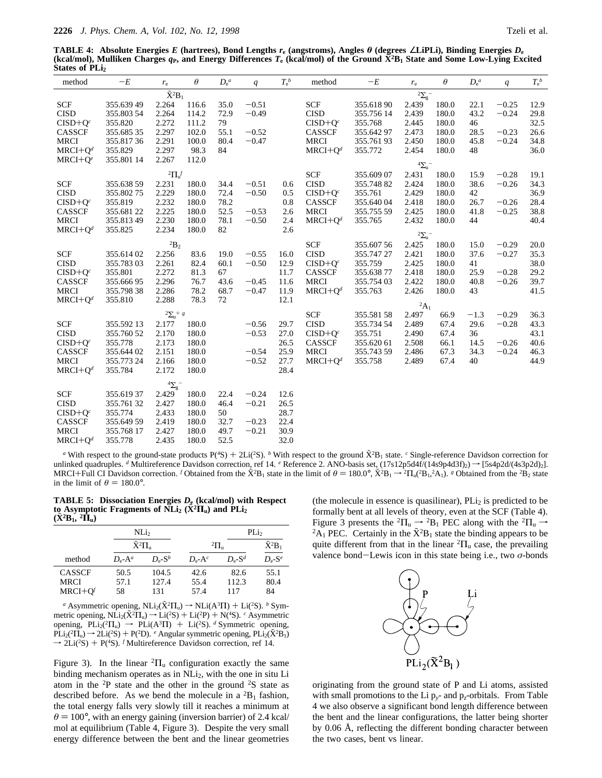**TABLE 4: Absolute Energies** *E* **(hartrees), Bond Lengths** *r***<sup>e</sup> (angstroms), Angles** *θ* **(degrees** ∠**LiPLi), Binding Energies** *D***<sup>e</sup>** (kcal/mol), Mulliken Charges  $q_P$ , and Energy Differences  $T_e$  (kcal/mol) of the Ground  $\bar{X}^2B_1$  State and Some Low-Lying Excited **States of PLi<sub>2</sub>** 

| $-E$       | $r_{\rm e}$                                                                                                                                                                                                                                                                                                                                                  | $\theta$                                                                                                                                                                                                                                                                                                 | $D_e^a$                                                                                                                                                                                                                                                                                                                                                | q                                                                                                                                                                                | $T_e^b$                                                                                                                                                                                            | method                                                                                                                                                                 | $-E$                                                                                                                                                                                                                                                                                                                             | $r_{\rm e}$                                                                                                                                                                                                                                              | $\theta$                                                                                                                                                                                                  | $D_e^a$                                                                                                                                                                                                          | q                                                                                                                                      | $T_{\rm e}^{\ b}$                                                                                                                           |
|------------|--------------------------------------------------------------------------------------------------------------------------------------------------------------------------------------------------------------------------------------------------------------------------------------------------------------------------------------------------------------|----------------------------------------------------------------------------------------------------------------------------------------------------------------------------------------------------------------------------------------------------------------------------------------------------------|--------------------------------------------------------------------------------------------------------------------------------------------------------------------------------------------------------------------------------------------------------------------------------------------------------------------------------------------------------|----------------------------------------------------------------------------------------------------------------------------------------------------------------------------------|----------------------------------------------------------------------------------------------------------------------------------------------------------------------------------------------------|------------------------------------------------------------------------------------------------------------------------------------------------------------------------|----------------------------------------------------------------------------------------------------------------------------------------------------------------------------------------------------------------------------------------------------------------------------------------------------------------------------------|----------------------------------------------------------------------------------------------------------------------------------------------------------------------------------------------------------------------------------------------------------|-----------------------------------------------------------------------------------------------------------------------------------------------------------------------------------------------------------|------------------------------------------------------------------------------------------------------------------------------------------------------------------------------------------------------------------|----------------------------------------------------------------------------------------------------------------------------------------|---------------------------------------------------------------------------------------------------------------------------------------------|
|            |                                                                                                                                                                                                                                                                                                                                                              |                                                                                                                                                                                                                                                                                                          |                                                                                                                                                                                                                                                                                                                                                        |                                                                                                                                                                                  |                                                                                                                                                                                                    |                                                                                                                                                                        |                                                                                                                                                                                                                                                                                                                                  |                                                                                                                                                                                                                                                          |                                                                                                                                                                                                           |                                                                                                                                                                                                                  |                                                                                                                                        |                                                                                                                                             |
|            |                                                                                                                                                                                                                                                                                                                                                              |                                                                                                                                                                                                                                                                                                          |                                                                                                                                                                                                                                                                                                                                                        |                                                                                                                                                                                  |                                                                                                                                                                                                    |                                                                                                                                                                        |                                                                                                                                                                                                                                                                                                                                  |                                                                                                                                                                                                                                                          |                                                                                                                                                                                                           |                                                                                                                                                                                                                  |                                                                                                                                        | 12.9                                                                                                                                        |
|            |                                                                                                                                                                                                                                                                                                                                                              |                                                                                                                                                                                                                                                                                                          |                                                                                                                                                                                                                                                                                                                                                        |                                                                                                                                                                                  |                                                                                                                                                                                                    |                                                                                                                                                                        |                                                                                                                                                                                                                                                                                                                                  |                                                                                                                                                                                                                                                          |                                                                                                                                                                                                           |                                                                                                                                                                                                                  |                                                                                                                                        | 29.8                                                                                                                                        |
|            |                                                                                                                                                                                                                                                                                                                                                              |                                                                                                                                                                                                                                                                                                          |                                                                                                                                                                                                                                                                                                                                                        |                                                                                                                                                                                  |                                                                                                                                                                                                    |                                                                                                                                                                        |                                                                                                                                                                                                                                                                                                                                  |                                                                                                                                                                                                                                                          |                                                                                                                                                                                                           |                                                                                                                                                                                                                  |                                                                                                                                        | 32.5                                                                                                                                        |
|            |                                                                                                                                                                                                                                                                                                                                                              |                                                                                                                                                                                                                                                                                                          |                                                                                                                                                                                                                                                                                                                                                        |                                                                                                                                                                                  |                                                                                                                                                                                                    |                                                                                                                                                                        |                                                                                                                                                                                                                                                                                                                                  |                                                                                                                                                                                                                                                          |                                                                                                                                                                                                           |                                                                                                                                                                                                                  |                                                                                                                                        | 26.6                                                                                                                                        |
|            |                                                                                                                                                                                                                                                                                                                                                              |                                                                                                                                                                                                                                                                                                          |                                                                                                                                                                                                                                                                                                                                                        |                                                                                                                                                                                  |                                                                                                                                                                                                    |                                                                                                                                                                        |                                                                                                                                                                                                                                                                                                                                  |                                                                                                                                                                                                                                                          |                                                                                                                                                                                                           |                                                                                                                                                                                                                  |                                                                                                                                        | 34.8                                                                                                                                        |
|            |                                                                                                                                                                                                                                                                                                                                                              |                                                                                                                                                                                                                                                                                                          |                                                                                                                                                                                                                                                                                                                                                        |                                                                                                                                                                                  |                                                                                                                                                                                                    |                                                                                                                                                                        |                                                                                                                                                                                                                                                                                                                                  |                                                                                                                                                                                                                                                          |                                                                                                                                                                                                           |                                                                                                                                                                                                                  |                                                                                                                                        | 36.0                                                                                                                                        |
|            |                                                                                                                                                                                                                                                                                                                                                              |                                                                                                                                                                                                                                                                                                          |                                                                                                                                                                                                                                                                                                                                                        |                                                                                                                                                                                  |                                                                                                                                                                                                    |                                                                                                                                                                        |                                                                                                                                                                                                                                                                                                                                  |                                                                                                                                                                                                                                                          |                                                                                                                                                                                                           |                                                                                                                                                                                                                  |                                                                                                                                        |                                                                                                                                             |
|            |                                                                                                                                                                                                                                                                                                                                                              |                                                                                                                                                                                                                                                                                                          |                                                                                                                                                                                                                                                                                                                                                        |                                                                                                                                                                                  |                                                                                                                                                                                                    |                                                                                                                                                                        |                                                                                                                                                                                                                                                                                                                                  |                                                                                                                                                                                                                                                          |                                                                                                                                                                                                           |                                                                                                                                                                                                                  |                                                                                                                                        |                                                                                                                                             |
|            |                                                                                                                                                                                                                                                                                                                                                              |                                                                                                                                                                                                                                                                                                          |                                                                                                                                                                                                                                                                                                                                                        |                                                                                                                                                                                  |                                                                                                                                                                                                    |                                                                                                                                                                        |                                                                                                                                                                                                                                                                                                                                  |                                                                                                                                                                                                                                                          |                                                                                                                                                                                                           |                                                                                                                                                                                                                  |                                                                                                                                        | 19.1                                                                                                                                        |
|            |                                                                                                                                                                                                                                                                                                                                                              |                                                                                                                                                                                                                                                                                                          |                                                                                                                                                                                                                                                                                                                                                        |                                                                                                                                                                                  |                                                                                                                                                                                                    |                                                                                                                                                                        |                                                                                                                                                                                                                                                                                                                                  |                                                                                                                                                                                                                                                          |                                                                                                                                                                                                           |                                                                                                                                                                                                                  |                                                                                                                                        | 34.3                                                                                                                                        |
|            |                                                                                                                                                                                                                                                                                                                                                              |                                                                                                                                                                                                                                                                                                          |                                                                                                                                                                                                                                                                                                                                                        |                                                                                                                                                                                  |                                                                                                                                                                                                    |                                                                                                                                                                        |                                                                                                                                                                                                                                                                                                                                  |                                                                                                                                                                                                                                                          |                                                                                                                                                                                                           |                                                                                                                                                                                                                  |                                                                                                                                        | 36.9                                                                                                                                        |
|            |                                                                                                                                                                                                                                                                                                                                                              |                                                                                                                                                                                                                                                                                                          |                                                                                                                                                                                                                                                                                                                                                        |                                                                                                                                                                                  |                                                                                                                                                                                                    |                                                                                                                                                                        |                                                                                                                                                                                                                                                                                                                                  |                                                                                                                                                                                                                                                          |                                                                                                                                                                                                           |                                                                                                                                                                                                                  |                                                                                                                                        | 28.4                                                                                                                                        |
|            |                                                                                                                                                                                                                                                                                                                                                              |                                                                                                                                                                                                                                                                                                          |                                                                                                                                                                                                                                                                                                                                                        |                                                                                                                                                                                  |                                                                                                                                                                                                    |                                                                                                                                                                        |                                                                                                                                                                                                                                                                                                                                  |                                                                                                                                                                                                                                                          |                                                                                                                                                                                                           |                                                                                                                                                                                                                  |                                                                                                                                        | 38.8                                                                                                                                        |
|            |                                                                                                                                                                                                                                                                                                                                                              |                                                                                                                                                                                                                                                                                                          |                                                                                                                                                                                                                                                                                                                                                        |                                                                                                                                                                                  |                                                                                                                                                                                                    |                                                                                                                                                                        |                                                                                                                                                                                                                                                                                                                                  |                                                                                                                                                                                                                                                          |                                                                                                                                                                                                           |                                                                                                                                                                                                                  |                                                                                                                                        | 40.4                                                                                                                                        |
|            |                                                                                                                                                                                                                                                                                                                                                              |                                                                                                                                                                                                                                                                                                          |                                                                                                                                                                                                                                                                                                                                                        |                                                                                                                                                                                  |                                                                                                                                                                                                    |                                                                                                                                                                        |                                                                                                                                                                                                                                                                                                                                  |                                                                                                                                                                                                                                                          |                                                                                                                                                                                                           |                                                                                                                                                                                                                  |                                                                                                                                        |                                                                                                                                             |
|            |                                                                                                                                                                                                                                                                                                                                                              |                                                                                                                                                                                                                                                                                                          |                                                                                                                                                                                                                                                                                                                                                        |                                                                                                                                                                                  |                                                                                                                                                                                                    |                                                                                                                                                                        |                                                                                                                                                                                                                                                                                                                                  |                                                                                                                                                                                                                                                          |                                                                                                                                                                                                           |                                                                                                                                                                                                                  |                                                                                                                                        | 20.0                                                                                                                                        |
|            |                                                                                                                                                                                                                                                                                                                                                              |                                                                                                                                                                                                                                                                                                          |                                                                                                                                                                                                                                                                                                                                                        |                                                                                                                                                                                  |                                                                                                                                                                                                    |                                                                                                                                                                        |                                                                                                                                                                                                                                                                                                                                  |                                                                                                                                                                                                                                                          |                                                                                                                                                                                                           |                                                                                                                                                                                                                  |                                                                                                                                        | 35.3                                                                                                                                        |
|            |                                                                                                                                                                                                                                                                                                                                                              |                                                                                                                                                                                                                                                                                                          |                                                                                                                                                                                                                                                                                                                                                        |                                                                                                                                                                                  |                                                                                                                                                                                                    |                                                                                                                                                                        |                                                                                                                                                                                                                                                                                                                                  |                                                                                                                                                                                                                                                          |                                                                                                                                                                                                           |                                                                                                                                                                                                                  |                                                                                                                                        | 38.0                                                                                                                                        |
|            |                                                                                                                                                                                                                                                                                                                                                              |                                                                                                                                                                                                                                                                                                          |                                                                                                                                                                                                                                                                                                                                                        |                                                                                                                                                                                  |                                                                                                                                                                                                    |                                                                                                                                                                        |                                                                                                                                                                                                                                                                                                                                  |                                                                                                                                                                                                                                                          |                                                                                                                                                                                                           |                                                                                                                                                                                                                  |                                                                                                                                        | 29.2                                                                                                                                        |
|            |                                                                                                                                                                                                                                                                                                                                                              |                                                                                                                                                                                                                                                                                                          |                                                                                                                                                                                                                                                                                                                                                        |                                                                                                                                                                                  |                                                                                                                                                                                                    |                                                                                                                                                                        |                                                                                                                                                                                                                                                                                                                                  |                                                                                                                                                                                                                                                          |                                                                                                                                                                                                           |                                                                                                                                                                                                                  |                                                                                                                                        | 39.7                                                                                                                                        |
|            |                                                                                                                                                                                                                                                                                                                                                              |                                                                                                                                                                                                                                                                                                          |                                                                                                                                                                                                                                                                                                                                                        |                                                                                                                                                                                  |                                                                                                                                                                                                    |                                                                                                                                                                        |                                                                                                                                                                                                                                                                                                                                  |                                                                                                                                                                                                                                                          |                                                                                                                                                                                                           |                                                                                                                                                                                                                  |                                                                                                                                        | 41.5                                                                                                                                        |
|            |                                                                                                                                                                                                                                                                                                                                                              |                                                                                                                                                                                                                                                                                                          |                                                                                                                                                                                                                                                                                                                                                        |                                                                                                                                                                                  |                                                                                                                                                                                                    |                                                                                                                                                                        |                                                                                                                                                                                                                                                                                                                                  |                                                                                                                                                                                                                                                          |                                                                                                                                                                                                           |                                                                                                                                                                                                                  |                                                                                                                                        |                                                                                                                                             |
|            |                                                                                                                                                                                                                                                                                                                                                              |                                                                                                                                                                                                                                                                                                          |                                                                                                                                                                                                                                                                                                                                                        |                                                                                                                                                                                  |                                                                                                                                                                                                    |                                                                                                                                                                        |                                                                                                                                                                                                                                                                                                                                  |                                                                                                                                                                                                                                                          |                                                                                                                                                                                                           |                                                                                                                                                                                                                  |                                                                                                                                        |                                                                                                                                             |
|            |                                                                                                                                                                                                                                                                                                                                                              |                                                                                                                                                                                                                                                                                                          |                                                                                                                                                                                                                                                                                                                                                        |                                                                                                                                                                                  |                                                                                                                                                                                                    |                                                                                                                                                                        | 355.581 58                                                                                                                                                                                                                                                                                                                       | 2.497                                                                                                                                                                                                                                                    | 66.9                                                                                                                                                                                                      | $-1.3$                                                                                                                                                                                                           | $-0.29$                                                                                                                                | 36.3                                                                                                                                        |
| 355.592 13 | 2.177                                                                                                                                                                                                                                                                                                                                                        |                                                                                                                                                                                                                                                                                                          |                                                                                                                                                                                                                                                                                                                                                        | $-0.56$                                                                                                                                                                          | 29.7                                                                                                                                                                                               |                                                                                                                                                                        | 355.734 54                                                                                                                                                                                                                                                                                                                       | 2.489                                                                                                                                                                                                                                                    | 67.4                                                                                                                                                                                                      | 29.6                                                                                                                                                                                                             | $-0.28$                                                                                                                                | 43.3                                                                                                                                        |
| 355.760 52 | 2.170                                                                                                                                                                                                                                                                                                                                                        | 180.0                                                                                                                                                                                                                                                                                                    |                                                                                                                                                                                                                                                                                                                                                        | $-0.53$                                                                                                                                                                          | 27.0                                                                                                                                                                                               |                                                                                                                                                                        | 355.751                                                                                                                                                                                                                                                                                                                          | 2.490                                                                                                                                                                                                                                                    | 67.4                                                                                                                                                                                                      | 36                                                                                                                                                                                                               |                                                                                                                                        | 43.1                                                                                                                                        |
|            |                                                                                                                                                                                                                                                                                                                                                              |                                                                                                                                                                                                                                                                                                          |                                                                                                                                                                                                                                                                                                                                                        |                                                                                                                                                                                  |                                                                                                                                                                                                    |                                                                                                                                                                        |                                                                                                                                                                                                                                                                                                                                  |                                                                                                                                                                                                                                                          | 66.1                                                                                                                                                                                                      | 14.5                                                                                                                                                                                                             | $-0.26$                                                                                                                                | 40.6                                                                                                                                        |
| 355.644 02 |                                                                                                                                                                                                                                                                                                                                                              |                                                                                                                                                                                                                                                                                                          |                                                                                                                                                                                                                                                                                                                                                        |                                                                                                                                                                                  |                                                                                                                                                                                                    |                                                                                                                                                                        | 355.74359                                                                                                                                                                                                                                                                                                                        | 2.486                                                                                                                                                                                                                                                    | 67.3                                                                                                                                                                                                      | 34.3                                                                                                                                                                                                             |                                                                                                                                        | 46.3                                                                                                                                        |
|            |                                                                                                                                                                                                                                                                                                                                                              |                                                                                                                                                                                                                                                                                                          |                                                                                                                                                                                                                                                                                                                                                        |                                                                                                                                                                                  |                                                                                                                                                                                                    |                                                                                                                                                                        |                                                                                                                                                                                                                                                                                                                                  | 2.489                                                                                                                                                                                                                                                    | 67.4                                                                                                                                                                                                      |                                                                                                                                                                                                                  |                                                                                                                                        | 44.9                                                                                                                                        |
|            |                                                                                                                                                                                                                                                                                                                                                              | 180.0                                                                                                                                                                                                                                                                                                    |                                                                                                                                                                                                                                                                                                                                                        |                                                                                                                                                                                  |                                                                                                                                                                                                    |                                                                                                                                                                        |                                                                                                                                                                                                                                                                                                                                  |                                                                                                                                                                                                                                                          |                                                                                                                                                                                                           |                                                                                                                                                                                                                  |                                                                                                                                        |                                                                                                                                             |
|            |                                                                                                                                                                                                                                                                                                                                                              |                                                                                                                                                                                                                                                                                                          |                                                                                                                                                                                                                                                                                                                                                        |                                                                                                                                                                                  |                                                                                                                                                                                                    |                                                                                                                                                                        |                                                                                                                                                                                                                                                                                                                                  |                                                                                                                                                                                                                                                          |                                                                                                                                                                                                           |                                                                                                                                                                                                                  |                                                                                                                                        |                                                                                                                                             |
|            |                                                                                                                                                                                                                                                                                                                                                              |                                                                                                                                                                                                                                                                                                          |                                                                                                                                                                                                                                                                                                                                                        |                                                                                                                                                                                  |                                                                                                                                                                                                    |                                                                                                                                                                        |                                                                                                                                                                                                                                                                                                                                  |                                                                                                                                                                                                                                                          |                                                                                                                                                                                                           |                                                                                                                                                                                                                  |                                                                                                                                        |                                                                                                                                             |
|            |                                                                                                                                                                                                                                                                                                                                                              |                                                                                                                                                                                                                                                                                                          |                                                                                                                                                                                                                                                                                                                                                        |                                                                                                                                                                                  |                                                                                                                                                                                                    |                                                                                                                                                                        |                                                                                                                                                                                                                                                                                                                                  |                                                                                                                                                                                                                                                          |                                                                                                                                                                                                           |                                                                                                                                                                                                                  |                                                                                                                                        |                                                                                                                                             |
|            |                                                                                                                                                                                                                                                                                                                                                              |                                                                                                                                                                                                                                                                                                          |                                                                                                                                                                                                                                                                                                                                                        |                                                                                                                                                                                  |                                                                                                                                                                                                    |                                                                                                                                                                        |                                                                                                                                                                                                                                                                                                                                  |                                                                                                                                                                                                                                                          |                                                                                                                                                                                                           |                                                                                                                                                                                                                  |                                                                                                                                        |                                                                                                                                             |
|            |                                                                                                                                                                                                                                                                                                                                                              |                                                                                                                                                                                                                                                                                                          |                                                                                                                                                                                                                                                                                                                                                        |                                                                                                                                                                                  |                                                                                                                                                                                                    |                                                                                                                                                                        |                                                                                                                                                                                                                                                                                                                                  |                                                                                                                                                                                                                                                          |                                                                                                                                                                                                           |                                                                                                                                                                                                                  |                                                                                                                                        |                                                                                                                                             |
|            |                                                                                                                                                                                                                                                                                                                                                              |                                                                                                                                                                                                                                                                                                          |                                                                                                                                                                                                                                                                                                                                                        |                                                                                                                                                                                  |                                                                                                                                                                                                    |                                                                                                                                                                        |                                                                                                                                                                                                                                                                                                                                  |                                                                                                                                                                                                                                                          |                                                                                                                                                                                                           |                                                                                                                                                                                                                  |                                                                                                                                        |                                                                                                                                             |
|            |                                                                                                                                                                                                                                                                                                                                                              |                                                                                                                                                                                                                                                                                                          |                                                                                                                                                                                                                                                                                                                                                        |                                                                                                                                                                                  |                                                                                                                                                                                                    |                                                                                                                                                                        |                                                                                                                                                                                                                                                                                                                                  |                                                                                                                                                                                                                                                          |                                                                                                                                                                                                           |                                                                                                                                                                                                                  |                                                                                                                                        |                                                                                                                                             |
|            |                                                                                                                                                                                                                                                                                                                                                              |                                                                                                                                                                                                                                                                                                          |                                                                                                                                                                                                                                                                                                                                                        |                                                                                                                                                                                  |                                                                                                                                                                                                    |                                                                                                                                                                        |                                                                                                                                                                                                                                                                                                                                  |                                                                                                                                                                                                                                                          |                                                                                                                                                                                                           |                                                                                                                                                                                                                  |                                                                                                                                        |                                                                                                                                             |
|            | 355.639 49<br>355.803 54<br>355.820<br>355.68535<br>355.81736<br>355.829<br>355.801 14<br>355.638 59<br>355.80275<br>355.819<br>355.681 22<br>355.81349<br>355.825<br>355.61402<br>355.78303<br>355.801<br>355.66695<br>355.79838<br>355.810<br>355.778<br>355.773 24<br>355.784<br>355.61937<br>355.76132<br>355.774<br>355.649 59<br>355.768 17<br>355.778 | 2.264<br>2.264<br>2.272<br>2.297<br>2.291<br>2.297<br>2.267<br>2.231<br>2.229<br>2.232<br>2.225<br>2.230<br>2.234<br>${}^{2}B_2$<br>2.256<br>2.261<br>2.272<br>2.296<br>2.286<br>2.288<br>2.173<br>2.151<br>2.166<br>2.172<br>$^4\Sigma_{\rm g}^-$<br>2.429<br>2.427<br>2.433<br>2.419<br>2.427<br>2.435 | $\overline{\tilde{X}^2B_1}$<br>116.6<br>114.2<br>111.2<br>102.0<br>100.0<br>98.3<br>112.0<br>${}^2\Pi_{\mathrm{u}}f$<br>180.0<br>180.0<br>180.0<br>180.0<br>180.0<br>180.0<br>83.6<br>82.4<br>81.3<br>76.7<br>78.2<br>78.3<br>$^2\Sigma_\mathrm{u}{}^+$ $^g$<br>180.0<br>180.0<br>180.0<br>180.0<br>180.0<br>180.0<br>180.0<br>180.0<br>180.0<br>180.0 | 35.0<br>72.9<br>79<br>55.1<br>80.4<br>84<br>34.4<br>72.4<br>78.2<br>52.5<br>78.1<br>82<br>19.0<br>60.1<br>67<br>43.6<br>68.7<br>72<br>22.4<br>46.4<br>50<br>32.7<br>49.7<br>52.5 | $-0.51$<br>$-0.49$<br>$-0.52$<br>$-0.47$<br>$-0.51$<br>$-0.50$<br>$-0.53$<br>$-0.50$<br>$-0.55$<br>$-0.50$<br>$-0.45$<br>$-0.47$<br>$-0.54$<br>$-0.52$<br>$-0.24$<br>$-0.21$<br>$-0.23$<br>$-0.21$ | 0.6<br>0.5<br>0.8<br>2.6<br>2.4<br>2.6<br>16.0<br>12.9<br>11.7<br>11.6<br>11.9<br>12.1<br>26.5<br>25.9<br>27.7<br>28.4<br>12.6<br>26.5<br>28.7<br>22.4<br>30.9<br>32.0 | <b>SCF</b><br><b>CISD</b><br>$CISD+Qc$<br>CASSCF<br><b>MRCI</b><br>$MRCI+Qd$<br><b>SCF</b><br><b>CISD</b><br>$CISD+Qc$<br>CASSCF<br><b>MRCI</b><br>$MRCI+Q^d$<br><b>SCF</b><br><b>CISD</b><br>$CISD+Qc$<br>CASSCF<br><b>MRCI</b><br>$MRCI + Od$<br><b>SCF</b><br><b>CISD</b><br>$CISD+Qc$<br>CASSCF<br><b>MRCI</b><br>$MRCI+Q^d$ | 355.61890<br>355.75614<br>355.768<br>355.64297<br>355.76193<br>355.772<br>355.609 07<br>355.74882<br>355.761<br>355.64004<br>355.755 59<br>355.765<br>355.607 56<br>355.747 27<br>355.759<br>355.63877<br>355.754 03<br>355.763<br>355.620 61<br>355.758 | 2.439<br>2.439<br>2.445<br>2.473<br>2.450<br>2.454<br>2.431<br>2.424<br>2.429<br>2.418<br>2.425<br>2.432<br>$2\Sigma_{\rm u}$<br>2.425<br>2.421<br>2.425<br>2.418<br>2.422<br>2.426<br>${}^2A_1$<br>2.508 | $^2\Sigma_{\rm g}{}^-$<br>180.0<br>180.0<br>180.0<br>180.0<br>180.0<br>180.0<br>$^4\Sigma_{\rm u}^-$<br>180.0<br>180.0<br>180.0<br>180.0<br>180.0<br>180.0<br>180.0<br>180.0<br>180.0<br>180.0<br>180.0<br>180.0 | 22.1<br>43.2<br>46<br>28.5<br>45.8<br>48<br>15.9<br>38.6<br>42<br>26.7<br>41.8<br>44<br>15.0<br>37.6<br>41<br>25.9<br>40.8<br>43<br>40 | $-0.25$<br>$-0.24$<br>$-0.23$<br>$-0.24$<br>$-0.28$<br>$-0.26$<br>$-0.26$<br>$-0.25$<br>$-0.29$<br>$-0.27$<br>$-0.28$<br>$-0.26$<br>$-0.24$ |

*a* With respect to the ground-state products  $P(^{4}S) + 2Li(^{2}S)$ . *b* With respect to the ground  $\tilde{X}^{2}B_1$  state. *c* Single-reference Davidson correction for  $\tilde{X}^{2}B_1$  state. *c* Single-reference Davidson cor unlinked quadruples. *d* Multireference Davidson correction, ref 14. *e* Reference 2. ANO-basis set,  $(17s12p5d4f/(14s9p4d3f)2)$   $\rightarrow$   $[5s4p2d/(4s3p2d)2]$ . MRCI+Full CI Davidson correction. *f* Obtained from the  $\tilde{X}^2B_1$  state in the limit of  $\theta = 180.0^\circ$ ,  $\tilde{X}^2B_1 \rightarrow 2\Pi_u(2B_1, 2A_1)$ . *g* Obtained from the  ${}^2B_2$  state in the limit of  $\theta = 180.0^\circ$ in the limit of  $\theta = 180.0^{\circ}$ .

**TABLE 5: Dissociation Energies** *D***<sup>e</sup> (kcal/mol) with Respect**  $\mathbf{t}_0$  Asymptotic Fragments of NLi<sub>2</sub>  $(\mathbf{X}^2 \mathbf{\Pi}_u)$  and PLi<sub>2</sub>  $(\tilde{\mathbf{X}}^2 \mathbf{B}_1, \tilde{\mathbf{Z}} \mathbf{\tilde{\Pi}}_u)$ 

|               | NLi <sub>2</sub>         |                       |                       | PLi <sub>2</sub>             |                  |  |
|---------------|--------------------------|-----------------------|-----------------------|------------------------------|------------------|--|
|               | $\tilde{X}^2\Pi_{\rm u}$ |                       | $^2\Pi_{\rm n}$       |                              | $\tilde{X}^2B_1$ |  |
| method        | $D_{e}$ -A <sup>a</sup>  | $D_{e}S^b$            | $D_e$ -A <sup>c</sup> | $D_{\alpha}$ -S <sup>d</sup> | $D_e$ -Se        |  |
| <b>CASSCF</b> | 50.5                     | 104.5                 | 42.6                  | 82.6                         | 55.1             |  |
| <b>MRCI</b>   | 57.1                     | 127.4                 | 55.4                  | 112.3                        | 80.4             |  |
| $MRCI+Of$     | 58                       | 131                   | 57.4                  | 117                          | 84               |  |
|               |                          | $\tilde{\phantom{a}}$ |                       |                              |                  |  |

*a* Asymmetric opening,  $NLi_2(\tilde{X}^2\Pi_u) \rightarrow NLi(A^3\Pi) + Li(^2S)$ . *b* Symtric opening  $NI_i_2(\tilde{X}^2\Pi_u) \rightarrow I_i(^2S) + I_i(^2P) + N(^4S)$ . *c* Asymmetric metric opening,  $\overline{N}Li_2(\tilde{X}^2\Pi_u) \rightarrow Li(^2S) + Li(^2P) + N(^4S)$ . *c* Asymmetric opening PL<sub>12</sub>(2L)  $\rightarrow$  PL<sub>1</sub>(A<sup>3</sup>II) + L<sub>1</sub>(2S) *d* Symmetric opening opening,  $PLi_2({}^2\Pi_u) \rightarrow PLi(A{}^3\Pi) + Li({}^2S)$ . *d* Symmetric opening,  $\overrightarrow{PL_2}(\overrightarrow{211_0}) \rightarrow 2\overrightarrow{Li}(2S) + P(2D)$ . *e* Angular symmetric opening,  $\overrightarrow{PL_2}(\tilde{X}^2B_1) \rightarrow 2\overrightarrow{Li}(2S) + P(^4S)$  *f* Multireference Davidson correction, ref 14  $\rightarrow$  2Li(<sup>2</sup>S) + P(<sup>4</sup>S). *f* Multireference Davidson correction, ref 14.

Figure 3). In the linear  ${}^{2}$  $\Pi$ <sub>u</sub> configuration exactly the same binding mechanism operates as in NLi<sub>2</sub>, with the one in situ Li atom in the  $2P$  state and the other in the ground  $2S$  state as described before. As we bend the molecule in a  ${}^{2}B_{1}$  fashion, the total energy falls very slowly till it reaches a minimum at  $\theta$  = 100°, with an energy gaining (inversion barrier) of 2.4 kcal/ mol at equilibrium (Table 4, Figure 3). Despite the very small energy difference between the bent and the linear geometries (the molecule in essence is quasilinear),  $PLi<sub>2</sub>$  is predicted to be formally bent at all levels of theory, even at the SCF (Table 4). Figure 3 presents the  ${}^2\Pi_u \rightarrow {}^2B_1$  PEC along with the  ${}^2\Pi_u \rightarrow$ <sup>2</sup>A<sub>1</sub> PEC. Certainly in the  $\tilde{X}$ <sup>2</sup>B<sub>1</sub> state the binding appears to be quite different from that in the linear  ${}^{2}$  $\Pi$ <sub>u</sub> case, the prevailing valence bond-Lewis icon in this state being i.e., two *<sup>σ</sup>*-bonds



originating from the ground state of P and Li atoms, assisted with small promotions to the Li  $p_y$ - and  $p_z$ -orbitals. From Table 4 we also observe a significant bond length difference between the bent and the linear configurations, the latter being shorter by 0.06 Å, reflecting the different bonding character between the two cases, bent vs linear.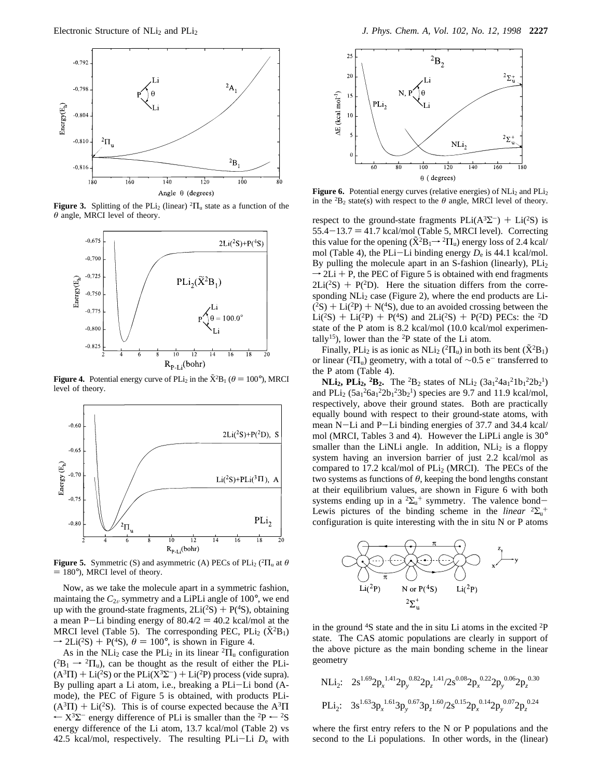

**Figure 3.** Splitting of the PLi<sub>2</sub> (linear)  ${}^{2} \Pi_{u}$  state as a function of the *θ* angle, MRCI level of theory.



**Figure 4.** Potential energy curve of PLi<sub>2</sub> in the  $\bar{X}^2B_1$  ( $\theta = 100^\circ$ ), MRCI level of theory level of theory.



**Figure 5.** Symmetric (S) and asymmetric (A) PECs of PLi<sub>2</sub> (<sup>2</sup> $\Pi$ <sub>u</sub> at  $\theta$  $= 180^{\circ}$ ), MRCI level of theory.

Now, as we take the molecule apart in a symmetric fashion, maintaing the  $C_{2v}$  symmetry and a LiPLi angle of 100 $^{\circ}$ , we end up with the ground-state fragments,  $2Li(^{2}S) + P(^{4}S)$ , obtaining a mean P-Li binding energy of  $80.4/2 = 40.2$  kcal/mol at the MRCI level (Table 5). The corresponding PEC,  $PLi_2 (\tilde{X}^2B_1)$  $\rightarrow$  2Li(<sup>2</sup>S) + P(<sup>4</sup>S),  $\theta = 100^{\circ}$ , is shown in Figure 4.

As in the NLi<sub>2</sub> case the PLi<sub>2</sub> in its linear  ${}^{2}$  $\Pi$ <sub>u</sub> configuration  $(^{2}B_{1} \rightarrow ^{2}\Pi_{u}$ ), can be thought as the result of either the PLi- $(A^{3}\Pi)$  + Li(<sup>2</sup>S) or the PLi( $X^{3}\Sigma^{-}$ ) + Li(<sup>2</sup>P) process (vide supra). By pulling apart a Li atom, i.e., breaking a PLi-Li bond (Amode), the PEC of Figure 5 is obtained, with products PLi-  $(A^{3}\Pi)$  + Li(<sup>2</sup>S). This is of course expected because the A<sup>3</sup> $\Pi$  $\leftarrow$  X<sup>3</sup> $\Sigma$ <sup>-</sup> energy difference of PLi is smaller than the <sup>2</sup>P  $\leftarrow$  <sup>2</sup>S energy difference of the Li atom, 13.7 kcal/mol (Table 2) vs 42.5 kcal/mol, respectively. The resulting PLi-Li *<sup>D</sup>*<sup>e</sup> with



**Figure 6.** Potential energy curves (relative energies) of  $NLi<sub>2</sub>$  and  $PLi<sub>2</sub>$ in the <sup>2</sup>B<sub>2</sub> state(s) with respect to the  $\theta$  angle, MRCI level of theory.

respect to the ground-state fragments  $PLi(A^3\Sigma^-) + Li(^2S)$  is  $55.4-13.7 = 41.7$  kcal/mol (Table 5, MRCI level). Correcting this value for the opening  $(\tilde{X}^2B_1 \rightarrow {}^2\Pi_u)$  energy loss of 2.4 kcal/ mol (Table 4), the PLi-Li binding energy  $D_e$  is 44.1 kcal/mol. By pulling the molecule apart in an S-fashion (linearly),  $PLi<sub>2</sub>$  $\rightarrow$  2Li + P, the PEC of Figure 5 is obtained with end fragments<br>21 i(2S) + P(2D). Here the situation differs from the corre- $2Li(^{2}S) + P(^{2}D)$ . Here the situation differs from the corresponding  $NLi<sub>2</sub>$  case (Figure 2), where the end products are Li- $(2S) + Li(2P) + N(4S)$ , due to an avoided crossing between the  $Li(^{2}S) + Li(^{2}P) + P(^{4}S)$  and  $2Li(^{2}S) + P(^{2}D)$  PECs: the <sup>2</sup>D state of the P atom is 8.2 kcal/mol (10.0 kcal/mol experimentally<sup>15</sup>), lower than the <sup>2</sup>P state of the Li atom.

Finally, PLi<sub>2</sub> is as ionic as NLi<sub>2</sub> (<sup>2</sup> $\Pi$ <sub>u</sub>) in both its bent ( $\tilde{X}$ <sup>2</sup> $B$ <sub>1</sub>) or linear (<sup>2</sup> $\Pi_u$ ) geometry, with a total of ∼0.5 e<sup>-</sup> transferred to the P atom (Table 4).

**NLi<sub>2</sub>, PLi<sub>2</sub>, <sup>2</sup>B<sub>2</sub>.** The <sup>2</sup>B<sub>2</sub> states of NLi<sub>2</sub> (3a<sub>1</sub><sup>2</sup>4a<sub>1</sub><sup>2</sup>1b<sub>1</sub><sup>2</sup>2b<sub>2</sub><sup>1</sup>) and PLi<sub>2</sub> ( $5a_1^26a_1^22b_1^23b_2^1$ ) species are 9.7 and 11.9 kcal/mol, respectively, above their ground states. Both are practically equally bound with respect to their ground-state atoms, with mean N-Li and P-Li binding energies of 37.7 and 34.4 kcal/ mol (MRCI, Tables 3 and 4). However the LiPLi angle is 30° smaller than the LiNLi angle. In addition, NLi<sub>2</sub> is a floppy system having an inversion barrier of just 2.2 kcal/mol as compared to 17.2 kcal/mol of  $PLi<sub>2</sub>$  (MRCI). The PECs of the two systems as functions of  $\theta$ , keeping the bond lengths constant at their equilibrium values, are shown in Figure 6 with both systems ending up in a  ${}^{2}\Sigma_{u}^{+}$  symmetry. The valence bond-<br>Lewis pictures of the binding scheme in the *linear*  ${}^{2}\Sigma^{+}$ Lewis pictures of the binding scheme in the *linear*  ${}^{2}\Sigma_{u}$ <sup>+</sup> configuration is quite interesting with the in situ N or P atoms



in the ground  $4S$  state and the in situ Li atoms in the excited  $2P$ state. The CAS atomic populations are clearly in support of the above picture as the main bonding scheme in the linear geometry

$$
\begin{array}{lll}\n\text{NLi}_2: & 2s^{1.69}2p_x^{1.41}2p_y^{0.82}2p_z^{1.41}/2s^{0.08}2p_x^{0.22}2p_y^{0.06}2p_z^{0.30} \\
\text{PLi}_2: & 3s^{1.63}3p_x^{1.61}3p_y^{0.67}3p_z^{1.60}/2s^{0.15}2p_x^{0.14}2p_y^{0.07}2p_z^{0.24}\n\end{array}
$$

where the first entry refers to the N or P populations and the second to the Li populations. In other words, in the (linear)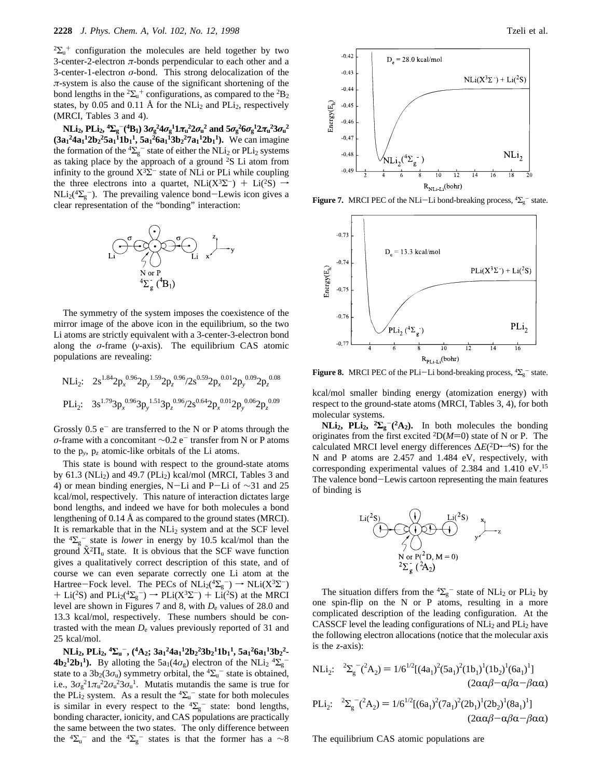${}^{2}\Sigma_{u}^{+}$  configuration the molecules are held together by two 3-center-2-electron  $\pi$ -bonds perpendicular to each other and a 3-center-1-electron *σ*-bond. This strong delocalization of the  $\pi$ -system is also the cause of the significant shortening of the bond lengths in the <sup>2</sup> $\Sigma$ <sub>u</sub><sup>+</sup> configurations, as compared to the <sup>2</sup>B<sub>2</sub> states, by 0.05 and 0.11 Å for the  $NLi<sub>2</sub>$  and  $PLi<sub>2</sub>$ , respectively (MRCI, Tables 3 and 4).

NLi<sub>2</sub>, PLi<sub>2</sub>, <sup>4</sup> $\Sigma_{\rm g}^{-(4} \rm B_{1})$  3 $\sigma_{\rm g}^{2} 4 \sigma_{\rm g}^{1} 1 \pi_{\rm u}^{2} 2 \sigma_{\rm u}^{2}$  and  $5 \sigma_{\rm g}^{2} 6 \sigma_{\rm g}^{1} 2 \pi_{\rm u}^{2} 3 \sigma_{\rm u}^{2}$  $(3a_1^2 4a_1^1 2b_2^2 5a_1^1 1b_1^1, 5a_1^2 6a_1^1 3b_2^2 7a_1^1 2b_1^1$ . We can imagine the formation of the  ${}^4\Sigma_g^-$  state of either the NLi<sub>2</sub> or PLi<sub>2</sub> systems as taking place by the approach of a ground <sup>2</sup>S Li atom from infinity to the ground  $X^3\Sigma^-$  state of NLi or PLi while coupling the three electrons into a quartet, NLi(X<sup>3</sup> $\Sigma^-$ ) + Li(<sup>2</sup>S)  $\rightarrow$  $NLi_2(^{4}\Sigma_{g}^{-})$ . The prevailing valence bond-Lewis icon gives a clear representation of the "bonding" interaction: clear representation of the "bonding" interaction:



The symmetry of the system imposes the coexistence of the mirror image of the above icon in the equilibrium, so the two Li atoms are strictly equivalent with a 3-center-3-electron bond along the *σ*-frame (*y*-axis). The equilibrium CAS atomic populations are revealing:

$$
\begin{array}{lll} \text{NLi}_2: & 2s^{1.84}2p_x^{0.96}2p_y^{1.59}2p_z^{0.96}/2s^{0.59}2p_x^{0.01}2p_y^{0.09}2p_z^{0.08} \\ \text{PLi}_2: & 3s^{1.79}3p_x^{0.96}3p_y^{1.51}3p_z^{0.96}/2s^{0.64}2p_x^{0.01}2p_y^{0.06}2p_z^{0.09} \end{array}
$$

Grossly  $0.5 e^-$  are transferred to the N or P atoms through the *σ*-frame with a concomitant ∼0.2 e<sup>-</sup> transfer from N or P atoms to the p*y*, p*<sup>z</sup>* atomic-like orbitals of the Li atoms.

This state is bound with respect to the ground-state atoms by 61.3 (NLi<sub>2</sub>) and 49.7 (PLi<sub>2</sub>) kcal/mol (MRCI, Tables 3 and 4) or mean binding energies, N-Li and P-Li of <sup>∼</sup>31 and 25 kcal/mol, respectively. This nature of interaction dictates large bond lengths, and indeed we have for both molecules a bond lengthening of 0.14 Å as compared to the ground states (MRCI). It is remarkable that in the NLi<sub>2</sub> system and at the SCF level the  $\sqrt[4]{2g}$  state is *lower* in energy by 10.5 kcal/mol than the ground  $\tilde{X}^2\Pi_u$  state. It is obvious that the SCF wave function gives a qualitatively correct description of this state, and of course we can even separate correctly one Li atom at the Hartree–Fock level. The PECs of  $NL_2(4\Sigma_g^-) \rightarrow NL_1(X^3\Sigma^-)$ <br>+ Li(2S) and PLi(4S) =)  $\rightarrow$  PLi(X3S) + Li(2S) at the MRCL + Li(<sup>2</sup>S) and PLi<sub>2</sub>( $\binom{4\Sigma_g}{g}$   $\rightarrow$  PLi( $X^3\Sigma^-$ ) + Li(<sup>2</sup>S) at the MRCI<br>level are shown in Figures 7 and 8, with *D*, values of 28.0 and level are shown in Figures 7 and 8, with  $D_e$  values of 28.0 and 13.3 kcal/mol, respectively. These numbers should be contrasted with the mean  $D_e$  values previously reported of 31 and 25 kcal/mol.

**NLi<sub>2</sub>, PLi<sub>2</sub>, <sup>4</sup>** $\Sigma_{\rm u}$ **<sup>-</sup>, (<sup>4</sup>A<sub>2</sub>; 3a<sub>1</sub><sup>2</sup>4a<sub>1</sub><sup>1</sup>2b<sub>2</sub><sup>2</sup>3b<sub>2</sub><sup>1</sup>1b<sub>1</sub><sup>1</sup>, 5a<sub>1</sub><sup>2</sup>6a<sub>1</sub><sup>1</sup>3b<sub>2</sub><sup>2</sup>-** $4\mathbf{b}_2^{-1}2\mathbf{b}_1^{-1}$ ). By alloting the 5a<sub>1</sub>(4 $\sigma_g$ ) electron of the NLi<sub>2</sub> <sup>4</sup> $\Sigma_g^$ state to a  $3b_2(3\sigma_u)$  symmetry orbital, the  ${}^4\Sigma_u^-$  state is obtained, i.e.,  $3\sigma_g^2 1\pi_u^2 2\sigma_u^2 3\sigma_u^1$ . Mutatis mutandis the same is true for the PLi<sub>2</sub> system. As a result the  ${}^4\Sigma_u$ <sup>-</sup> state for both molecules is similar in every respect to the  ${}^{4}\Sigma_{g}^{-}$  state: bond lengths, bonding character, ionicity, and CAS populations are practically the same between the two states. The only difference between the  ${}^{4}\Sigma_{u}^{-}$  and the  ${}^{4}\Sigma_{g}^{-}$  states is that the former has a  $\sim8$ 



**Figure 7.** MRCI PEC of the NLi-Li bond-breaking process,  ${}^4\Sigma_g$  state.



**Figure 8.** MRCI PEC of the PLi-Li bond-breaking process,  ${}^4\Sigma_g$  state.

kcal/mol smaller binding energy (atomization energy) with respect to the ground-state atoms (MRCI, Tables 3, 4), for both molecular systems.

**NLi<sub>2</sub>, PLi<sub>2</sub>, <sup>2</sup>** $\sum_{g}$ **<sup>-</sup>(<sup>2</sup>A<sub>2</sub>). In both molecules the bonding** originates from the first excited  ${}^{2}D(M=0)$  state of N or P. The calculated MRCI level energy differences  $\Delta E$ (<sup>2</sup>D<sup>←4</sup>S) for the N and P atoms are 2.457 and 1.484 eV, respectively, with corresponding experimental values of 2.384 and 1.410 eV.15 The valence bond-Lewis cartoon representing the main features of binding is



The situation differs from the  ${}^{4}\Sigma_{g}^{-}$  state of NLi<sub>2</sub> or PLi<sub>2</sub> by one spin-flip on the N or P atoms, resulting in a more complicated description of the leading configuration. At the CASSCF level the leading configurations of  $NLi<sub>2</sub>$  and  $PLi<sub>2</sub>$  have the following electron allocations (notice that the molecular axis is the *z*-axis):

$$
NLi_2: \quad {}^{2}\Sigma_{g}^{-}(^{2}A_2) = 1/6^{1/2}[(4a_1)^{2}(5a_1)^{2}(1b_1)^{1}(1b_2)^{1}(6a_1)^{1}]
$$
  
\n(2ααβ-αβα-βαα)  
\n
$$
DI: \quad {}^{2}\Sigma_{g}^{-}(^{2}\Lambda_{g}) = 1/6^{1/2}[(6a_1)^{2}(7a_2)^{2}(2b_1)^{1}(2b_1)^{1}(8a_1)^{1}]
$$

PLi<sub>2</sub>: 
$$
{}^{2}\Sigma_{g}^{-}({}^{2}A_{2}) = 1/6^{1/2}[(6a_{1})^{2}(7a_{1})^{2}(2b_{1})^{1}(2b_{2})^{1}(8a_{1})^{1}]
$$
  
\n(2ααβ-αβα-βαα)

The equilibrium CAS atomic populations are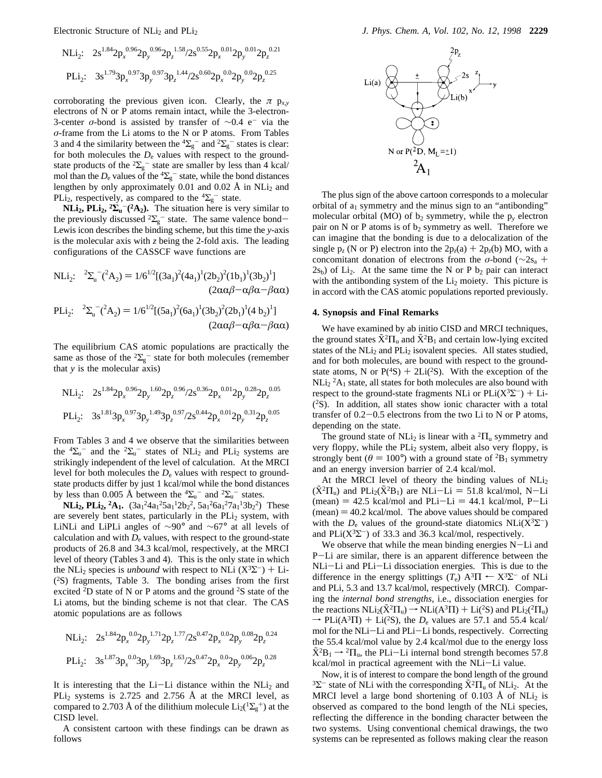NLi<sub>2</sub>: 
$$
2s^{1.84}2p_x^{0.96}2p_y^{0.96}2p_z^{1.58}/2s^{0.55}2p_x^{0.01}2p_y^{0.01}2p_z^{0.21}
$$
  
PLi<sub>2</sub>:  $3s^{1.79}3p_x^{0.97}3p_y^{0.97}3p_z^{1.44}/2s^{0.60}2p_x^{0.02}p_y^{0.02}2p_z^{0.25}$ 

corroborating the previous given icon. Clearly, the  $\pi$  p<sub>x,y</sub> electrons of N or P atoms remain intact, while the 3-electron-3-center  $\sigma$ -bond is assisted by transfer of  $\sim$ 0.4 e<sup>-</sup> via the *σ*-frame from the Li atoms to the N or P atoms. From Tables 3 and 4 the similarity between the  ${}^{4}\Sigma_{g}^{-}$  and  ${}^{2}\Sigma_{g}^{-}$  states is clear: for both molecules the  $D_e$  values with respect to the groundstate products of the  ${}^{2}\Sigma_{g}^{-}$  state are smaller by less than 4 kcal/ mol than the  $D_e$  values of the  ${}^4\Sigma_g^-$  state, while the bond distances lengthen by only approximately 0.01 and 0.02 Å in  $NLi<sub>2</sub>$  and PLi<sub>2</sub>, respectively, as compared to the  ${}^{4}\Sigma_{g}^{-}$  state.

**NLi<sub>2</sub>, PLi<sub>2</sub>, <sup>2</sup>** $\sum_{u}$ **<sup>-</sup>(<sup>2</sup>A<sub>2</sub>). The situation here is very similar to** the previously discussed  ${}^{2}\Sigma_{g}^{-}$  state. The same valence bond-<br>Lewis icon describes the binding scheme, but this time the v-axis Lewis icon describes the binding scheme, but this time the *y*-axis is the molecular axis with *z* being the 2-fold axis. The leading configurations of the CASSCF wave functions are

NLi<sub>2</sub>: 
$$
{}^{2}\Sigma_{u}{}^{-}({}^{2}A_{2}) = 1/6 {}^{1/2}[(3a_{1})^{2}(4a_{1})^{1}(2b_{2})^{2}(1b_{1})^{1}(3b_{2})^{1}]
$$
  
\n(2ααβ-αβα-βαα)  
\nPLi<sub>2</sub>:  ${}^{2}\Sigma_{u}{}^{-}({}^{2}A_{2}) = 1/6 {}^{1/2}[(5a_{1})^{2}(6a_{1})^{1}(3b_{2})^{2}(2b_{1})^{1}(4b_{2})^{1}]$ 

$$
(2\alpha\alpha\beta-\alpha\beta\alpha-\beta\alpha\alpha)
$$

The equilibrium CAS atomic populations are practically the same as those of the  ${}^{2}\Sigma_{g}^{-}$  state for both molecules (remember that *y* is the molecular axis)

$$
\begin{array}{lll} \text{NLi}_2: & 2s^{1.84}2p_x^{0.96}2p_y^{1.60}2p_z^{0.96}/2s^{0.36}2p_x^{0.01}2p_y^{0.28}2p_z^{0.05} \\ \text{PLi}_2: & 3s^{1.81}3p_x^{0.97}3p_y^{1.49}3p_z^{0.97}/2s^{0.44}2p_x^{0.01}2p_y^{0.31}2p_z^{0.05} \end{array}
$$

From Tables 3 and 4 we observe that the similarities between the  ${}^4\Sigma_u$ <sup>-</sup> and the  ${}^2\Sigma_u$ <sup>-</sup> states of NLi<sub>2</sub> and PLi<sub>2</sub> systems are strikingly independent of the level of calculation. At the MRCI level for both molecules the  $D<sub>e</sub>$  values with respect to groundstate products differ by just 1 kcal/mol while the bond distances by less than 0.005 Å between the  ${}^{4}\Sigma_{u}^{-}$  and  ${}^{2}\Sigma_{u}^{-}$  states.

**NLi<sub>2</sub>, PLi<sub>2</sub>, <sup>2</sup>A<sub>1</sub>.**  $(3a_1^2 4a_1^2 5a_1^1 2b_2^2, 5a_1^2 6a_1^2 7a_1^1 3b_2^2)$  These are severely bent states, particularly in the  $PLi<sub>2</sub>$  system, with LiNLi and LiPLi angles of ∼90° and ∼67° at all levels of calculation and with  $D<sub>e</sub>$  values, with respect to the ground-state products of 26.8 and 34.3 kcal/mol, respectively, at the MRCI level of theory (Tables 3 and 4). This is the only state in which the NLi<sub>2</sub> species is *unbound* with respect to NLi  $(X^3\Sigma^-)$  + Li- $(^{2}S)$  fragments, Table 3. The bonding arises from the first excited  ${}^{2}D$  state of N or P atoms and the ground  ${}^{2}S$  state of the Li atoms, but the binding scheme is not that clear. The CAS atomic populations are as follows

$$
\begin{array}{lll} \text{NLi}_2: & 2s^{1.84}2p_x^{0.02}p_y^{1.71}2p_z^{1.77}/2s^{0.47}2p_x^{0.02}p_y^{0.08}2p_z^{0.24} \\ \text{PLi}_2: & 3s^{1.87}3p_x^{0.03}3p_y^{1.69}3p_z^{1.63}/2s^{0.47}2p_x^{0.02}2p_y^{0.06}2p_z^{0.28} \end{array}
$$

It is interesting that the Li-Li distance within the  $NLi<sub>2</sub>$  and PLi<sub>2</sub> systems is 2.725 and 2.756 Å at the MRCI level, as compared to 2.703 Å of the dilithium molecule  $Li_2(^1\Sigma_g^+)$  at the CISD level.

A consistent cartoon with these findings can be drawn as follows



The plus sign of the above cartoon corresponds to a molecular orbital of  $a_1$  symmetry and the minus sign to an "antibonding" molecular orbital (MO) of  $b_2$  symmetry, while the  $p_y$  electron pair on N or P atoms is of  $b_2$  symmetry as well. Therefore we can imagine that the bonding is due to a delocalization of the single  $p_z$  (N or P) electron into the  $2p_z(a) + 2p_z(b)$  MO, with a concomitant donation of electrons from the *<sup>σ</sup>*-bond (∼2sa <sup>+</sup>  $2s<sub>b</sub>$ ) of Li<sub>2</sub>. At the same time the N or P  $b<sub>2</sub>$  pair can interact with the antibonding system of the  $Li<sub>2</sub>$  moiety. This picture is in accord with the CAS atomic populations reported previously.

# **4. Synopsis and Final Remarks**

We have examined by ab initio CISD and MRCI techniques, the ground states  $\tilde{X}^2\Pi_u$  and  $\tilde{X}^2B_1$  and certain low-lying excited states of the NLi<sub>2</sub> and PLi<sub>2</sub> isovalent species. All states studied, and for both molecules, are bound with respect to the groundstate atoms, N or  $P(^{4}S) + 2Li(^{2}S)$ . With the exception of the  $NLi<sub>2</sub> <sup>2</sup>A<sub>1</sub>$  state, all states for both molecules are also bound with respect to the ground-state fragments NLi or  $PLi(X^3\Sigma^-) + Li$ (2S). In addition, all states show ionic character with a total transfer of 0.2-0.5 electrons from the two Li to N or P atoms, depending on the state.

The ground state of NLi<sub>2</sub> is linear with a  ${}^{2}$  $\Pi$ <sub>u</sub> symmetry and very floppy, while the PLi<sub>2</sub> system, albeit also very floppy, is strongly bent ( $\theta = 100^{\circ}$ ) with a ground state of <sup>2</sup>B<sub>1</sub> symmetry and an energy inversion barrier of 2.4 kcal/mol.

At the MRCI level of theory the binding values of  $NLi<sub>2</sub>$  $(\tilde{X}^2\Pi_u)$  and  $\text{PLi}_2(\tilde{X}^2B_1)$  are NLi-Li = 51.8 kcal/mol, N-Li  $(mean) = 42.5$  kcal/mol and PLi-Li = 44.1 kcal/mol, P-Li  $(mean) = 40.2$  kcal/mol. The above values should be compared with the  $D_e$  values of the ground-state diatomics NLi( $X^3\Sigma^-$ ) and PLi( $X^3\Sigma^-$ ) of 33.3 and 36.3 kcal/mol, respectively.

We observe that while the mean binding energies N-Li and <sup>P</sup>-Li are similar, there is an apparent difference between the NLi-Li and PLi-Li dissociation energies. This is due to the difference in the energy splittings ( $T_e$ ) A<sup>3</sup> $\Pi \leftarrow X^3\Sigma^-$  of NLi and PLi, 5.3 and 13.7 kcal/mol, respectively (MRCI). Comparing the *internal bond strengths*, i.e., dissociation energies for the reactions  $NLi_2(\tilde{X}^2\Pi_u) \rightarrow NLi(A^3\Pi) + Li(^2S)$  and  $PLi_2(^2\Pi_u)$  $\rightarrow$  PLi(A<sup>3</sup>II) + Li(<sup>2</sup>S), the *D*<sub>e</sub> values are 57.1 and 55.4 kcal/<br>mol for the NI i–I i and PI i–I i bonds respectively. Correcting mol for the NLi-Li and PLi-Li bonds, respectively. Correcting the 55.4 kcal/mol value by 2.4 kcal/mol due to the energy loss  $\tilde{X}^2B_1 \rightarrow {}^2\Pi_{\rm u}$ , the PLi-Li internal bond strength becomes 57.8 kcal/mol in practical agreement with the NLi-Li value.

Now, it is of interest to compare the bond length of the ground <sup>3</sup>Σ<sup>-</sup> state of NLi with the corresponding  $\tilde{X}$ <sup>2</sup> $\Pi_u$  of NLi<sub>2</sub>. At the MRCI level a large bond shortening of  $0.103$  Å of NLi<sub>2</sub> is observed as compared to the bond length of the NLi species, reflecting the difference in the bonding character between the two systems. Using conventional chemical drawings, the two systems can be represented as follows making clear the reason